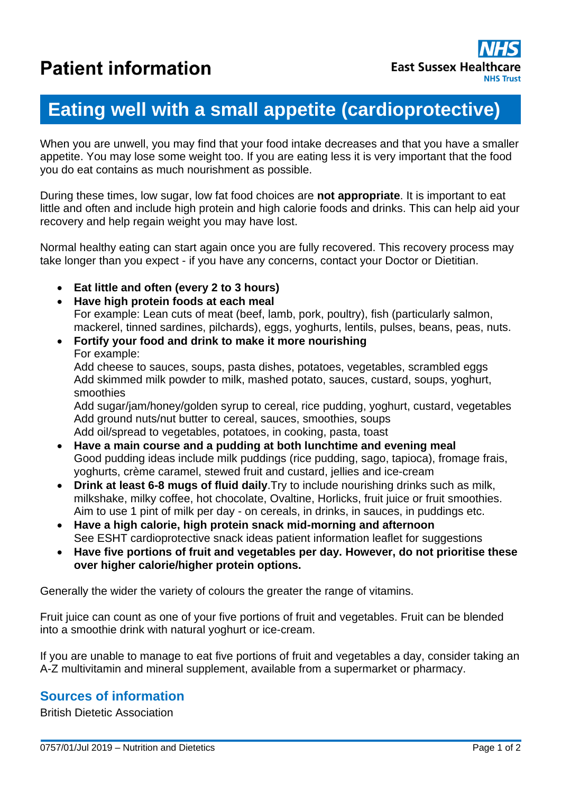# **Eating well with a small appetite (cardioprotective)**

When you are unwell, you may find that your food intake decreases and that you have a smaller appetite. You may lose some weight too. If you are eating less it is very important that the food you do eat contains as much nourishment as possible.

During these times, low sugar, low fat food choices are **not appropriate**. It is important to eat little and often and include high protein and high calorie foods and drinks. This can help aid your recovery and help regain weight you may have lost.

Normal healthy eating can start again once you are fully recovered. This recovery process may take longer than you expect - if you have any concerns, contact your Doctor or Dietitian.

- **Eat little and often (every 2 to 3 hours)**
- **Have high protein foods at each meal** For example: Lean cuts of meat (beef, lamb, pork, poultry), fish (particularly salmon, mackerel, tinned sardines, pilchards), eggs, yoghurts, lentils, pulses, beans, peas, nuts.
- **Fortify your food and drink to make it more nourishing** For example: Add cheese to sauces, soups, pasta dishes, potatoes, vegetables, scrambled eggs Add skimmed milk powder to milk, mashed potato, sauces, custard, soups, yoghurt, smoothies

Add sugar/jam/honey/golden syrup to cereal, rice pudding, yoghurt, custard, vegetables Add ground nuts/nut butter to cereal, sauces, smoothies, soups Add oil/spread to vegetables, potatoes, in cooking, pasta, toast

- **Have a main course and a pudding at both lunchtime and evening meal** Good pudding ideas include milk puddings (rice pudding, sago, tapioca), fromage frais, yoghurts, crème caramel, stewed fruit and custard, jellies and ice-cream
- **Drink at least 6-8 mugs of fluid daily**.Try to include nourishing drinks such as milk, milkshake, milky coffee, hot chocolate, Ovaltine, Horlicks, fruit juice or fruit smoothies. Aim to use 1 pint of milk per day - on cereals, in drinks, in sauces, in puddings etc.
- **Have a high calorie, high protein snack mid-morning and afternoon** See ESHT cardioprotective snack ideas patient information leaflet for suggestions
- **Have five portions of fruit and vegetables per day. However, do not prioritise these over higher calorie/higher protein options.**

Generally the wider the variety of colours the greater the range of vitamins.

Fruit juice can count as one of your five portions of fruit and vegetables. Fruit can be blended into a smoothie drink with natural yoghurt or ice-cream.

If you are unable to manage to eat five portions of fruit and vegetables a day, consider taking an A-Z multivitamin and mineral supplement, available from a supermarket or pharmacy.

### **Sources of information**

British Dietetic Association